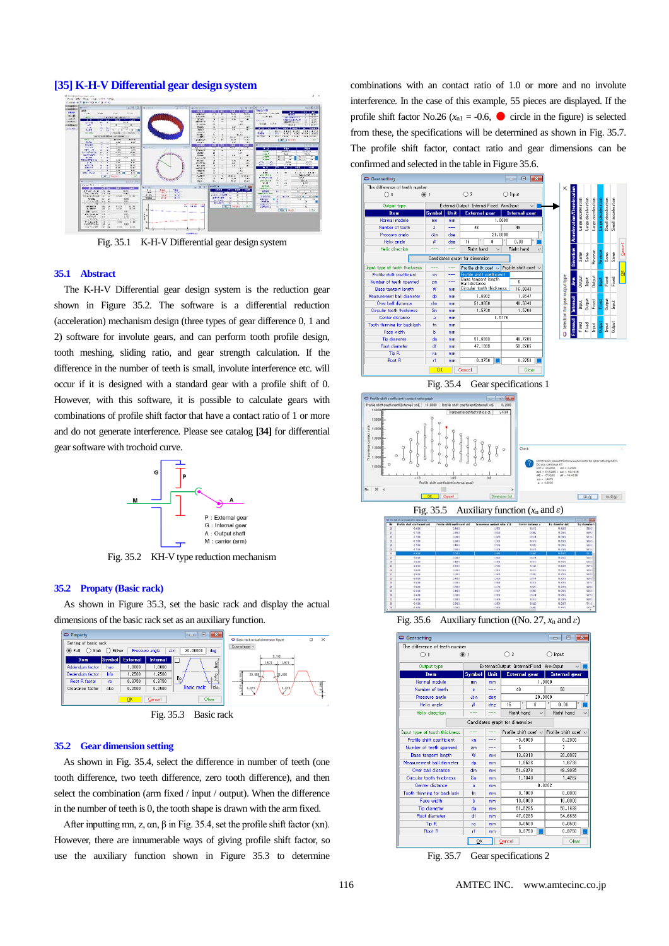# **[35] K-H-V Differential gear design system**



Fig. 35.1 K-H-V Differential gear design system

#### **35.1 Abstract**

The K-H-V Differential gear design system is the reduction gear shown in Figure 35.2. The software is a differential reduction (acceleration) mechanism design (three types of gear difference 0, 1 and 2) software for involute gears, and can perform tooth profile design, tooth meshing, sliding ratio, and gear strength calculation. If the difference in the number of teeth is small, involute interference etc. will occur if it is designed with a standard gear with a profile shift of 0. However, with this software, it is possible to calculate gears with combinations of profile shift factor that have a contact ratio of 1 or more and do not generate interference. Please see catalog **[34]** for differential gear software with trochoid curve.



Fig. 35.2 KH-V type reduction mechanism

#### **35.2 Propaty (Basic rack)**

As shown in Figure 35.3, set the basic rack and display the actual dimensions of the basic rack set as an auxiliary function.



**35.2 Gear dimension setting**

As shown in Fig. 35.4, select the difference in number of teeth (one tooth difference, two teeth difference, zero tooth difference), and then select the combination (arm fixed / input / output). When the difference in the number of teeth is 0, the tooth shape is drawn with the arm fixed.

After inputting mn, z,  $\alpha$ n,  $\beta$  in Fig. 35.4, set the profile shift factor (xn). However, there are innumerable ways of giving profile shift factor, so use the auxiliary function shown in Figure 35.3 to determine combinations with an contact ratio of 1.0 or more and no involute interference. In the case of this example, 55 pieces are displayed. If the profile shift factor No.26 ( $x_{nl} = -0.6$ ,  $\bullet$  circle in the figure) is selected from these, the specifications will be determined as shown in Fig. 35.7. The profile shift factor, contact ratio and gear dimensions can be confirmed and selected in the table in Figure 35.6.







Fig. 35.6 Auxiliary function ((No. 27, *x*<sup>n</sup> and *ε*)

| The difference of teeth number   |                |      |                                          |              |                      |       |
|----------------------------------|----------------|------|------------------------------------------|--------------|----------------------|-------|
| ∩∩                               | $\odot$ 1      |      | $\mathfrak{p}$                           |              | Input                |       |
| Output type                      |                |      | External:Output Internal:Fixed Arm:Input |              |                      |       |
| Item                             | Symbol         | Unit | <b>External gear</b>                     |              | <b>Internal gear</b> |       |
| Normal module                    | mn             | mm   |                                          |              | 1,0000               |       |
| Number of teeth                  | $\overline{z}$ | ---  | 49                                       |              | 50                   |       |
| Pressure angle                   | $\alpha$ n     | deg  |                                          | 20,0000      |                      | ×     |
| Helix angle                      | β              | deg  | ٠<br>15                                  | ň            | ٠<br>0.00            |       |
| <b>Helix direction</b>           |                |      | Right hand                               | $\checkmark$ | Right hand           |       |
|                                  |                |      | Candidates graph for dimension           |              |                      |       |
| Input type of tooth thickness    | ---            |      | Profile shift coef $\sim$                |              | Profile shift coef   |       |
| <b>Profile shift coefficient</b> | xn             | ---  |                                          | $-0.6000$    | 0.2000               |       |
| Number of teeth spanned          | 2 <sub>m</sub> | ---  | 5                                        |              | 7                    |       |
| <b>Base tangent length</b>       | w              | mm   |                                          | 13,6318      | 20.0987              |       |
| Measurement ball diameter        | dp             | mm   |                                          | 1.6536       | 1.6738               |       |
| Over ball distance               | dm             | mm   |                                          | 51.6378      | 49.9095              |       |
| Circular tooth thickness         | Sn             | mm   |                                          | 1.1340       | 1.4252               |       |
| Center distance                  | a              | mm   |                                          |              | 0.9202               |       |
| Tooth thinning for backlash      | fn             | mm   |                                          | 0.1000       | 0.0000               |       |
| Face width                       | Ь              | mm   |                                          | 10,0000      | 10,0000              |       |
| Tip diameter                     | da             | mm   |                                          | 51.5285      | 50.1638              |       |
| <b>Root diameter</b>             | ďf             | mm   |                                          | 47.0285      | 54.6638              |       |
| Tip <sub>R</sub>                 | ra             | mm   |                                          | 0.0500       | 0.0500               |       |
| Root R                           | rf             | mm   |                                          | 0.3750       | 0.3750               |       |
|                                  | QK             |      | Cancel                                   |              |                      | Clear |

Fig. 35.7 Gear specifications 2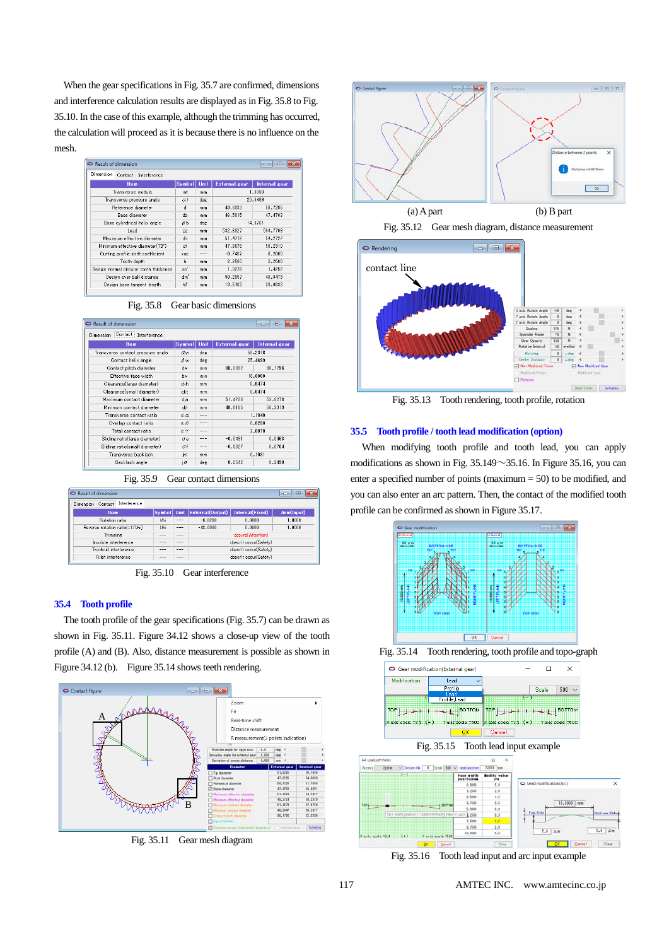When the gear specifications in Fig. 35.7 are confirmed, dimensions and interference calculation results are displayed as in Fig. 35.8 to Fig. 35.10. In the case of this example, although the trimming has occurred, the calculation will proceed as it is because there is no influence on the mesh.

| Dimension<br>Contact<br>Interference   |               |             |                      |                      |  |
|----------------------------------------|---------------|-------------|----------------------|----------------------|--|
| <b>Item</b>                            | <b>Symbol</b> | <b>Unit</b> | <b>External gear</b> | <b>Internal</b> gear |  |
| Transverse module                      | mt            | mm          |                      | 1.0353               |  |
| Transverse pressure angle              | Ωt            | deg         | 20.6469              |                      |  |
| Reference diameter                     | d             | mm          | 49.6933              | 50.7285              |  |
| Base diameter                          | db            | mm          | 46,5015              | 47.4703              |  |
| Base cylindrical helix angle           | βb            | deg         | 14.0761              |                      |  |
| Lead                                   | DZ            | mm          | 582.6327             | 594.7709             |  |
| Maximum effective diameter             | dh            | mm          | 51.4712              | 54.2727              |  |
| Minimum effective diameter(TIF)        | dt            | mm          | 47.8675              | 50.2310              |  |
| Cutting profile shift coefficient      | xnc           |             | $-0.7462$            | 0.2000               |  |
| Tooth depth                            | h             | mm          | 2.2500               | 2.2500               |  |
| Design normal circular tooth thickness | sn'           | mm          | 1.0276               | 1.4252               |  |
| Design over ball distance              | dm'           | mm          | 50.2857              | 48.8479              |  |
| Design base tangent length             | w             | mm          | 13.5163              | 20.0833              |  |

| Fig. 35.8 Gear basic dimensions |  |  |
|---------------------------------|--|--|
|                                 |  |  |

| <b>Result of dimension</b><br>×<br>$\Box$<br>$\Box$ |                              |              |                      |                      |  |  |
|-----------------------------------------------------|------------------------------|--------------|----------------------|----------------------|--|--|
| Contact Interference<br>Dimension                   |                              |              |                      |                      |  |  |
| Item                                                | <b>Symbol</b>                | Unit         | <b>External gear</b> | <b>Internal gear</b> |  |  |
| Transverse contact pressure angle                   | 58,2376<br>deg<br>$\alpha$ w |              |                      |                      |  |  |
| Contact helix angle                                 | βw                           | deg          |                      | 25.4699              |  |  |
| Contact pitch diameter                              | dw                           | mm           | 88.3392              | 90.1796              |  |  |
| Effective face width                                | hw                           | mm           | 10,0000              |                      |  |  |
| Clearance(large diameter)                           | ckh                          | mm           | 0.6474               |                      |  |  |
| Clearance(small diameter)                           | ckt                          | mm           | 0.6474               |                      |  |  |
| Maximum contact diameter                            | dja                          | mm           | 51.4723              | 53.0278              |  |  |
| Minimum contact diameter                            | djf                          | mm           | 48.8185              | 50.2319              |  |  |
| Transverse contact ratio                            | $\mathcal{L}$                | <b>COLOR</b> |                      | 1.1840               |  |  |
| Overlap contact ratio                               | εβ                           | ---          |                      | 0.8238               |  |  |
| Total contact ratio                                 | $\varepsilon$ $\gamma$       | ----         |                      | 2.0078               |  |  |
| Sliding ratio(large diameter)                       | σa                           | <b>COLOR</b> | $-0.0491$            | 0.0468               |  |  |
| Sliding ratio(small diameter)                       | σf                           | ---          | $-0.0827$            | 0.0764               |  |  |
| Transverse backlash                                 | int                          | mm           |                      | 0.1031               |  |  |
| Backlash angle                                      | $i\sigma$                    | deg          | 0.2542               | 0.2490               |  |  |

Fig. 35.9 Gear contact dimensions

| $\bullet$ Result of dimension               |                |                |                       |                        | -33<br>$\Box$<br>$\equiv$ |  |  |  |
|---------------------------------------------|----------------|----------------|-----------------------|------------------------|---------------------------|--|--|--|
| Interference<br>Contact<br><b>Dimension</b> |                |                |                       |                        |                           |  |  |  |
| <b>Item</b>                                 | Symbol Unit    |                | External(Output)      | <b>Internal(Fixed)</b> | Arm(Input)                |  |  |  |
| Rotation ratio                              | Vhi            | $- - -$        | $-0.0208$             | 0.0000                 | 1,0000                    |  |  |  |
| Reverse rotation ratio(=1/Vhi)              | <b>Llhi</b>    | $- - -$        | $-48.0000$            | 0.0000                 | 1,0000                    |  |  |  |
| <b>Trimming</b>                             | <b>BARBARA</b> | <b>BARBARA</b> |                       | occurs(Attention)      |                           |  |  |  |
| Involute interference                       |                | ---            | doesn't occur(Safety) |                        |                           |  |  |  |
| Trochoid interference                       | <b>BERTHER</b> | ----           | doesn't occur(Safety) |                        |                           |  |  |  |
| Fillet interference                         | ----           | ----           |                       | doesn't occur(Safety)  |                           |  |  |  |
|                                             |                |                |                       |                        |                           |  |  |  |

Fig. 35.10 Gear interference

## **35.4 Tooth profile**

The tooth profile of the gear specifications (Fig. 35.7) can be drawn as shown in Fig. 35.11. Figure 34.12 shows a close-up view of the tooth profile (A) and (B). Also, distance measurement is possible as shown in Figure 34.12 (b). Figure 35.14 shows teeth rendering.



Fig. 35.11 Gear mesh diagram



Fig. 35.12 Gear mesh diagram, distance measurement



Fig. 35.13 Tooth rendering, tooth profile, rotation

### **35.5 Tooth profile / tooth lead modification (option)**

When modifying tooth profile and tooth lead, you can apply modifications as shown in Fig.  $35.149 \sim 35.16$ . In Figure 35.16, you can enter a specified number of points (maximum = 50) to be modified, and you can also enter an arc pattern. Then, the contact of the modified tooth profile can be confirmed as shown in Figure 35.17.



Fig. 35.14 Tooth rendering, tooth profile and topo-graph





Fig. 35.16 Tooth lead input and arc input example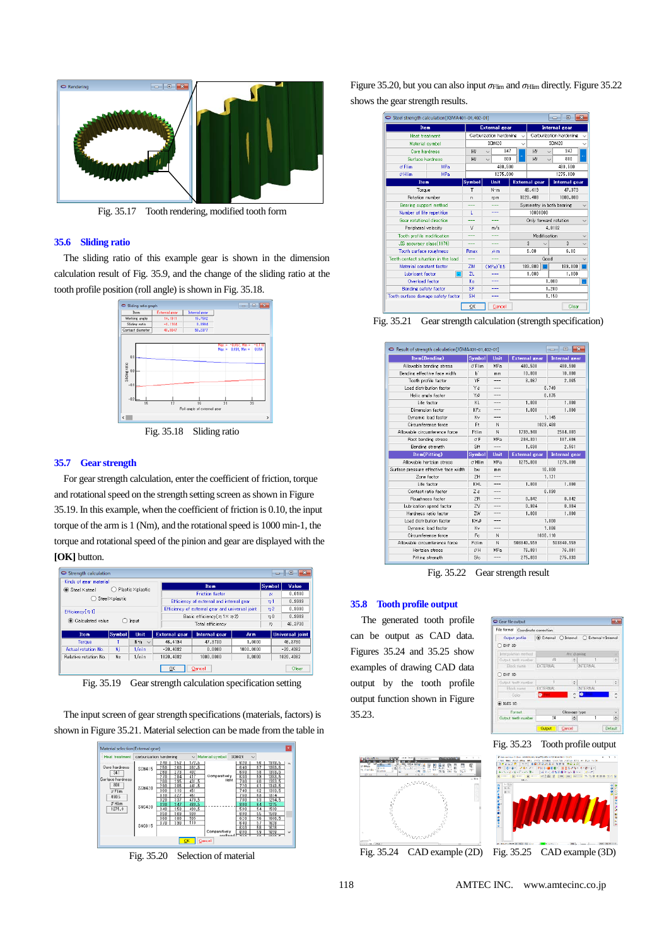

Fig. 35.17 Tooth rendering, modified tooth form

## **35.6 Sliding ratio**

The sliding ratio of this example gear is shown in the dimension calculation result of Fig. 35.9, and the change of the sliding ratio at the tooth profile position (roll angle) is shown in Fig. 35.18.



Fig. 35.18 Sliding ratio

### **35.7 Gear strength**

For gear strength calculation, enter the coefficient of friction, torque and rotational speed on the strength setting screen as shown in Figure 35.19. In this example, when the coefficient of friction is 0.10, the input torque of the arm is 1 (Nm), and the rotational speed is 1000 min-1, the torque and rotational speed of the pinion and gear are displayed with the **[OK]** button.



Fig. 35.19 Gear strength calculation specification setting

The input screen of gear strength specifications (materials, factors) is shown in Figure 35.21. Material selection can be made from the table in



Fig. 35.20 Selection of material

Figure 35.20, but you can also input  $\sigma$ <sub>Flim</sub> and  $\sigma$ <sub>Hlim</sub> directly. Figure 35.22 shows the gear strength results.



Fig. 35.21 Gear strength calculation (strength specification)

| Result of strength calculation[JGMA401-01,402-01] | -- 0          |                      |                      |                      |  |
|---------------------------------------------------|---------------|----------------------|----------------------|----------------------|--|
| Item(Bending)                                     | Symbol        | Unit                 | <b>External gear</b> | <b>Internal gear</b> |  |
| Allowable bending stress                          | $\sigma$ Flim | MPa                  | 480,500              | 480,500              |  |
| Bending effective face width                      | ы             | mm                   | 10,000               | 10,000               |  |
| Tooth profile factor                              | YF            | ---                  | 3.067                | 2.065                |  |
| Load distribution factor                          | Yε            | ---                  | 0.749                |                      |  |
| Helix angle factor                                | Yβ            |                      |                      | 0.875                |  |
| Life factor                                       | KL            | $\sim$ $\sim$ $\sim$ | 1,000                | 1,000                |  |
| Dimension factor                                  | KFx           |                      | 1,000                | 1,000                |  |
| Dynamic load factor                               | Kv            | ---                  |                      | 1.145                |  |
| Circumference force                               | Ft            | N                    | 1029.488             |                      |  |
| Allowable circumference force                     | Ftlim         | N                    | 1739.948             | 2584.003             |  |
| Root bending stress                               | $\sigma$ F    | MPa                  | 284.301              | 187,606              |  |
| Bending strength                                  | Sft           | ---                  | 1.690                | 2.561                |  |
|                                                   |               |                      |                      |                      |  |
| <b>Item(Pitting)</b>                              | Symbol        | Unit                 | <b>External gear</b> | <b>Internal gear</b> |  |
| Allowable bertzian stress                         | $\sigma$ Hlim | MPa                  | 1275.000             | 1275,000             |  |
| Surface pressure effective face width             | hw            | mm                   |                      | 10,000               |  |
| Zone factor                                       | 7H            | $\sim$               |                      | 1.171                |  |
| Life factor                                       | KHL           | $\overline{a}$       | 1,000                | 1,000                |  |
| Contact ratio factor                              | 7e            |                      |                      | 0.890                |  |
| Routhness factor                                  | ZR            | ---                  | 0.842                | 0.842                |  |
| Lubrication speed factor                          | ZV            |                      | 0.984                | 0.984                |  |
| Hardness ratin factor                             | <b>7W</b>     | $- - -$              | 1,000                | 1,000                |  |
| Load distribution factor                          | KHB           | ---                  |                      | 1,000                |  |
| Dynamic load factor                               | Κv            | ---                  |                      | 1.086                |  |
| Circumference force                               | Fc            | N                    | 1830, 110            |                      |  |
| Allowable circumference force                     | Felim         | N                    | 503340.559           | 503340.559           |  |
| Hertzian stress                                   | $\sigma H$    | MPa                  | 76.881               | 76.881               |  |

Fig. 35.22 Gear strength result

### **35.8 Tooth profile output**

The generated tooth profile can be output as CAD data. Figures 35.24 and 35.25 show examples of drawing CAD data output by the tooth profile output function shown in Figure 35.23.





Fig. 35.23 Tooth profile output



Fig. 35.24 CAD example (2D) Fig. 35.25 CAD example (3D)